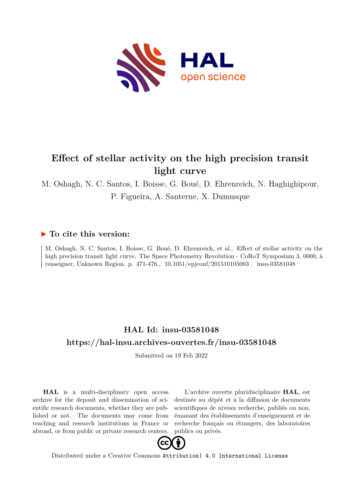

# **Effect of stellar activity on the high precision transit light curve**

M. Oshagh, N. C. Santos, I. Boisse, G. Boué, D. Ehrenreich, N. Haghighipour,

P. Figueira, A. Santerne, X. Dumusque

## **To cite this version:**

M. Oshagh, N. C. Santos, I. Boisse, G. Boué, D. Ehrenreich, et al.. Effect of stellar activity on the high precision transit light curve. The Space Photometry Revolution - CoRoT Symposium 3, 0000, à renseigner, Unknown Region. p. 471-476., 10.1051/epjconf/201510105003. insu-03581048

# **HAL Id: insu-03581048 <https://hal-insu.archives-ouvertes.fr/insu-03581048>**

Submitted on 19 Feb 2022

**HAL** is a multi-disciplinary open access archive for the deposit and dissemination of scientific research documents, whether they are published or not. The documents may come from teaching and research institutions in France or abroad, or from public or private research centers.

L'archive ouverte pluridisciplinaire **HAL**, est destinée au dépôt et à la diffusion de documents scientifiques de niveau recherche, publiés ou non, émanant des établissements d'enseignement et de recherche français ou étrangers, des laboratoires publics ou privés.



Distributed under a Creative Commons [Attribution| 4.0 International License](http://creativecommons.org/licenses/by/4.0/)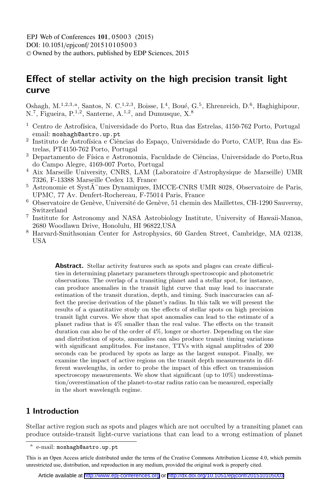## **Effect of stellar activity on the high precision transit light curve**

Oshagh, M.<sup>1,2,3,a</sup>, Santos, N. C.<sup>1,2,3</sup>, Boisse, I.<sup>4</sup>, Boué, G.<sup>5</sup>, Ehrenreich, D.<sup>6</sup>, Haghighipour, N.<sup>7</sup>, Figueira, P.<sup>1,2</sup>, Santerne, A.<sup>1,2</sup>, and Dumusque,  $X$ .<sup>8</sup>

- $1$  Centro de Astrofísica, Universidade do Porto, Rua das Estrelas, 4150-762 Porto, Portugal
- email: moshagh@astro.up.pt<br><sup>2</sup> Instituto de Astrofísica e Ciências do Espaço, Universidade do Porto, CAUP, Rua das Estrelas, PT4150-762 Porto, Portugal
- $^3\,$  Departamento de Física e Astronomia, Faculdade de Ciências, Universidade do Porto,Rua do Campo Alegre, 4169-007 Porto, Portugal
- <sup>4</sup> Aix Marseille University, CNRS, LAM (Laboratoire d'Astrophysique de Marseille) UMR 7326, F-13388 Marseille Cedex 13, France
- $5$  Astronomie et Syst $\tilde{A}$  mes Dynamiques, IMCCE-CNRS UMR 8028, Observatoire de Paris, UPMC, 77 Av. Denfert-Rochereau, F-75014 Paris, France
- $^6$  Observatoire de Genève, Université de Genève, 51 chemin des Maillettes, CH-1290 Sauverny, Switzerland
- <sup>7</sup> Institute for Astronomy and NASA Astrobiology Institute, University of Hawaii-Manoa, 2680 Woodlawn Drive, Honolulu, HI 96822,USA
- <sup>8</sup> Harvard-Smithsonian Center for Astrophysics, 60 Garden Street, Cambridge, MA 02138, USA

**Abstract.** Stellar activity features such as spots and plages can create difficulties in determining planetary parameters through spectroscopic and photometric observations. The overlap of a transiting planet and a stellar spot, for instance, can produce anomalies in the transit light curve that may lead to inaccurate estimation of the transit duration, depth, and timing. Such inaccuracies can affect the precise derivation of the planet's radius. In this talk we will present the results of a quantitative study on the effects of stellar spots on high precision transit light curves. We show that spot anomalies can lead to the estimate of a planet radius that is 4% smaller than the real value. The effects on the transit duration can also be of the order of 4%, longer or shorter. Depending on the size and distribution of spots, anomalies can also produce transit timing variations with significant amplitudes. For instance, TTVs with signal amplitudes of 200 seconds can be produced by spots as large as the largest sunspot. Finally, we examine the impact of active regions on the transit depth measurements in different wavelengths, in order to probe the impact of this effect on transmission spectroscopy measurements. We show that significant (up to  $10\%$ ) underestimation/overestimation of the planet-to-star radius ratio can be measured, especially in the short wavelength regime.

## **1 Introduction**

Stellar active region such as spots and plages which are not occulted by a transiting planet can produce outside-transit light-curve variations that can lead to a wrong estimation of planet

e-mail: moshagh@astro.up.pt

This is an Open Access article distributed under the terms of the Creative Commons Attribution License 4.0, which permits unrestricted use, distribution, and reproduction in any medium, provided the original work is properly cited.

Article available at <http://www.epj-conferences.org> or <http://dx.doi.org/10.1051/epjconf/201510105003>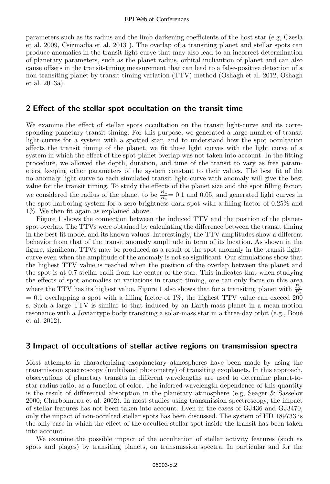#### EPJ Web of Conferences

parameters such as its radius and the limb darkening coefficients of the host star (e.g, Czesla et al. 2009, Csizmadia et al. 2013 ). The overlap of a transiting planet and stellar spots can produce anomalies in the transit light-curve that may also lead to an incorrect determination of planetary parameters, such as the planet radius, orbital incliantion of planet and can also cause offsets in the transit-timing measurement that can lead to a false-positive detection of a non-transiting planet by transit-timing variation (TTV) method (Oshagh et al. 2012, Oshagh et al. 2013a).

#### **2 Effect of the stellar spot occultation on the transit time**

We examine the effect of stellar spots occultation on the transit light-curve and its corresponding planetary transit timing. For this purpose, we generated a large number of transit light-curves for a system with a spotted star, and to understand how the spot occultation affects the transit timing of the planet, we fit these light curves with the light curve of a system in which the effect of the spot-planet overlap was not taken into account. In the fitting procedure, we allowed the depth, duration, and time of the transit to vary as free parameters, keeping other parameters of the system constant to their values. The best fit of the no-anomaly light curve to each simulated transit light-curve with anomaly will give the best value for the transit timing. To study the effects of the planet size and the spot filling factor, we considered the radius of the planet to be  $\frac{R_p}{R_s} = 0.1$  and 0.05, and generated light curves in the spot-harboring system for a zero-brightness dark spot with a filling factor of 0.25% and 1%. We then fit again as explained above.

Figure 1 shows the connection between the induced TTV and the position of the planetspot overlap. The TTVs were obtained by calculating the difference between the transit timing in the best-fit model and its known values. Interestingly, the TTV amplitudes show a different behavior from that of the transit anomaly amplitude in term of its location. As shown in the figure, significant TTVs may be produced as a result of the spot anomaly in the transit lightcurve even when the amplitude of the anomaly is not so significant. Our simulations show that the highest TTV value is reached when the position of the overlap between the planet and the spot is at 0.7 stellar radii from the center of the star. This indicates that when studying the effects of spot anomalies on variations in transit timing, one can only focus on this area where the TTV has its highest value. Figure 1 also shows that for a transiting planet with  $\frac{R_p}{R_s}$  $= 0.1$  overlapping a spot with a filling factor of 1%, the highest TTV value can exceed 200 s. Such a large TTV is similar to that induced by an Earth-mass planet in a mean-motion resonance with a Joviantype body transiting a solar-mass star in a three-day orbit (e.g., Boué et al. 2012).

### **3 Impact of occultations of stellar active regions on transmission spectra**

Most attempts in characterizing exoplanetary atmospheres have been made by using the transmission spectroscopy (multiband photometry) of transiting exoplanets. In this approach, observations of planetary transits in different wavelengths are used to determine planet-tostar radius ratio, as a function of color. The inferred wavelength dependence of this quantity is the result of differential absorption in the planetary atmosphere (e.g, Seager & Sasselov 2000; Charbonneau et al. 2002). In most studies using transmission spectroscopy, the impact of stellar features has not been taken into account. Even in the cases of GJ436 and GJ3470, only the impact of non-occulted stellar spots has been discussed. The system of HD 189733 is the only case in which the effect of the occulted stellar spot inside the transit has been taken into account.

We examine the possible impact of the occultation of stellar activity features (such as spots and plages) by transiting planets, on transmission spectra. In particular and for the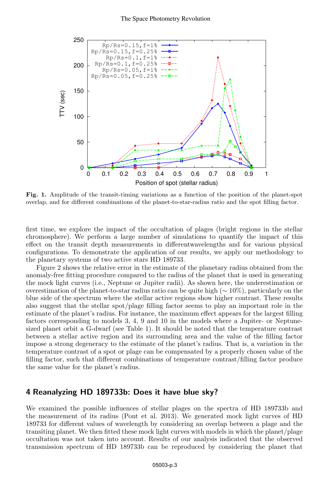

**Fig. 1.** Amplitude of the transit-timing variations as a function of the position of the planet-spot overlap, and for different combinations of the planet-to-star-radius ratio and the spot filling factor.

first time, we explore the impact of the occultation of plages (bright regions in the stellar chromosphere). We perform a large number of simulations to quantify the impact of this effect on the transit depth measurements in differentwavelengths and for various physical configurations. To demonstrate the application of our results, we apply our methodology to the planetary systems of two active stars HD 189733.

Figure 2 shows the relative error in the estimate of the planetary radius obtained from the anomaly-free fitting procedure compared to the radius of the planet that is used in generating the mock light curves (i.e., Neptune or Jupiter radii). As shown here, the underestimation or overestimation of the planet-to-star radius ratio can be quite high ( $\sim 10\%$ ), particularly on the blue side of the spectrum where the stellar active regions show higher contrast. These results also suggest that the stellar spot/plage filling factor seems to play an important role in the estimate of the planet's radius. For instance, the maximum effect appears for the largest filling factors corresponding to models 3, 4, 9 and 10 in the models where a Jupiter- or Neptunesized planet orbit a G-dwarf (see Table 1). It should be noted that the temperature contrast between a stellar active region and its surrounding area and the value of the filling factor impose a strong degeneracy to the estimate of the planet's radius. That is, a variation in the temperature contrast of a spot or plage can be compensated by a properly chosen value of the filling factor, such that different combinations of temperature contrast/filling factor produce the same value for the planet's radius.

### **4 Reanalyzing HD 189733b: Does it have blue sky?**

We examined the possible influences of stellar plages on the spectra of HD 189733b and the measurement of its radius (Pont et al. 2013). We generated mock light curves of HD 189733 for different values of wavelength by considering an overlap between a plage and the transiting planet. We then fitted these mock light curves with models in which the planet/plage occultation was not taken into account. Results of our analysis indicated that the observed transmission spectrum of HD 189733b can be reproduced by considering the planet that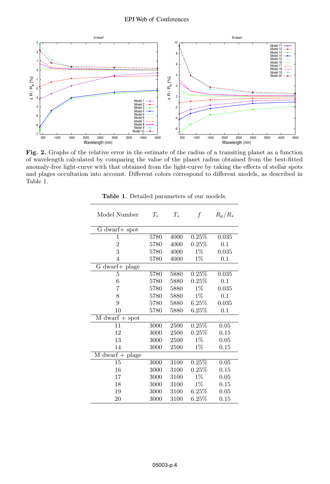

**Fig. 2.** Graphs of the relative error in the estimate of the radius of a transiting planet as a function of wavelength calculated by comparing the value of the planet radius obtained from the best-fitted anomaly-free light-curve with that obtained from the light-curve by taking the effects of stellar spots and plages occultation into account. Different colors correspond to different models, as described in Table 1.

| Model Number                 | $T_*$ | $T_s$ | f        | $R_p/R_*$ |
|------------------------------|-------|-------|----------|-----------|
| $\overline{G}$ dwarf + spot  |       |       |          |           |
| 1                            | 5780  | 4000  | 0.25%    | 0.035     |
| $\overline{2}$               | 5780  | 4000  | 0.25%    | 0.1       |
| 3                            | 5780  | 4000  | $1\%$    | 0.035     |
| 4                            | 5780  | 4000  | $1\%$    | 0.1       |
| G dwarf+ plage               |       |       |          |           |
| 5                            | 5780  | 5880  | 0.25%    | 0.035     |
| 6                            | 5780  | 5880  | 0.25%    | 0.1       |
| 7                            | 5780  | 5880  | $1\%$    | 0.035     |
| 8                            | 5780  | 5880  | $1\%$    | 0.1       |
| 9                            | 5780  | 5880  | 6.25%    | 0.035     |
| 10                           | 5780  | 5880  | 6.25%    | 0.1       |
| $M$ dwarf $+$<br>spot        |       |       |          |           |
| 11                           | 3000  | 2500  | 0.25%    | 0.05      |
| 12                           | 3000  | 2500  | 0.25%    | 0.15      |
| 13                           | 3000  | 2500  | $1\%$    | 0.05      |
| 14                           | 3000  | 2500  | $1\%$    | 0.15      |
| $\overline{M}$ dwarf + plage |       |       |          |           |
| 15                           | 3000  | 3100  | 0.25%    | 0.05      |
| 16                           | 3000  | 3100  | 0.25%    | 0.15      |
| 17                           | 3000  | 3100  | $1\%$    | 0.05      |
| 18                           | 3000  | 3100  | $1\%$    | 0.15      |
| 19                           | 3000  | 3100  | $6.25\%$ | 0.05      |
| 20                           | 3000  | 3100  | 6.25%    | 0.15      |

**Table 1.** Detailed parameters of our models.